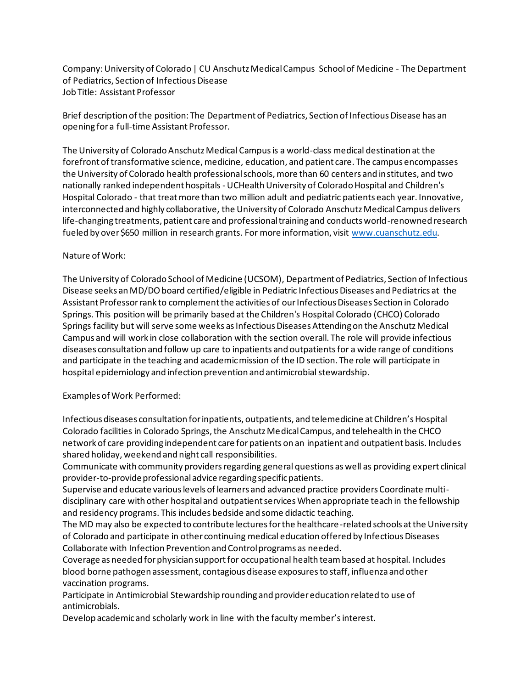Company: University of Colorado | CU Anschutz Medical Campus School of Medicine - The Department of Pediatrics, Section of Infectious Disease Job Title: Assistant Professor

Brief description of the position: The Department of Pediatrics, Section of Infectious Disease has an opening for a full-time Assistant Professor.

The University of Colorado Anschutz Medical Campus is a world-class medical destination at the forefront of transformative science, medicine, education, and patient care. The campus encompasses the University of Colorado health professional schools, more than 60 centers and institutes, and two nationally ranked independent hospitals - UCHealth University of Colorado Hospital and Children's Hospital Colorado - that treat more than two million adult and pediatric patients each year. Innovative, interconnected and highly collaborative, the University of Colorado Anschutz Medical Campus delivers life-changing treatments, patient care and professional training and conducts world-renowned research fueled by over \$650 million in research grants. For more information, visit [www.cuanschutz.edu](http://www.cuanschutz.edu/).

## Nature of Work:

The University of Colorado School of Medicine (UCSOM), Department of Pediatrics, Section of Infectious Disease seeks an MD/DO board certified/eligible in Pediatric Infectious Diseases and Pediatrics at the Assistant Professor rank to complement the activities of our Infectious Diseases Section in Colorado Springs. This position will be primarily based at the Children's Hospital Colorado (CHCO) Colorado Springs facility but will serve some weeks as Infectious Diseases Attending on the Anschutz Medical Campus and will work in close collaboration with the section overall. The role will provide infectious diseases consultation and follow up care to inpatients and outpatients for a wide range of conditions and participate in the teaching and academic mission of the ID section. The role will participate in hospital epidemiology and infection prevention and antimicrobial stewardship.

## Examples of Work Performed:

Infectious diseases consultation for inpatients, outpatients, and telemedicine at Children's Hospital Colorado facilities in Colorado Springs, the Anschutz Medical Campus, and telehealth in the CHCO network of care providing independent care for patients on an inpatient and outpatient basis. Includes shared holiday, weekend and night call responsibilities.

Communicate with community providers regarding general questions as well as providing expert clinical provider-to-provide professional advice regarding specific patients.

Supervise and educate various levels of learners and advanced practice providers Coordinate multidisciplinary care with other hospital and outpatient services When appropriate teach in the fellowship and residency programs. This includes bedside and some didactic teaching.

The MD may also be expected to contribute lectures for the healthcare-related schools at the University of Colorado and participate in other continuing medical education offered by Infectious Diseases Collaborate with Infection Prevention and Control programs as needed.

Coverage as needed for physician support for occupational health team based at hospital. Includes blood borne pathogen assessment, contagious disease exposures to staff, influenza and other vaccination programs.

Participate in Antimicrobial Stewardship rounding and provider education related to use of antimicrobials.

Develop academic and scholarly work in line with the faculty member's interest.